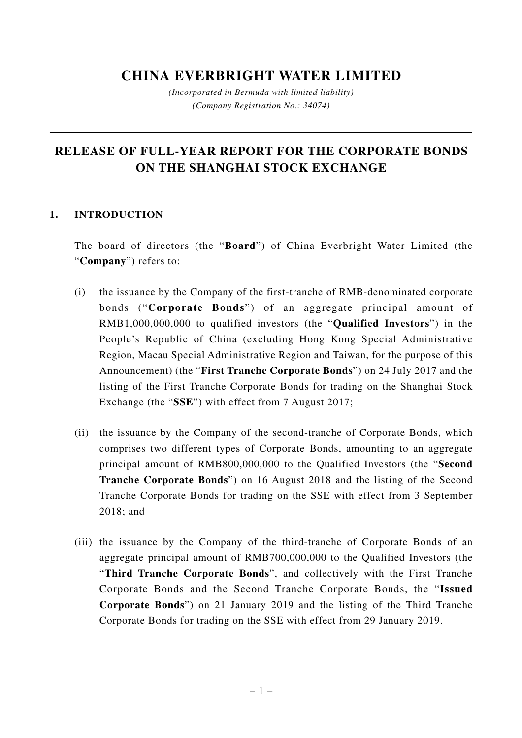## **CHINA EVERBRIGHT WATER LIMITED**

*(Incorporated in Bermuda with limited liability) (Company Registration No.: 34074)*

# **RELEASE OF FULL-YEAR REPORT FOR THE CORPORATE BONDS ON THE SHANGHAI STOCK EXCHANGE**

#### **1. INTRODUCTION**

The board of directors (the "**Board**") of China Everbright Water Limited (the "**Company**") refers to:

- (i) the issuance by the Company of the first-tranche of RMB-denominated corporate bonds ("**Corporate Bonds**") of an aggregate principal amount of RMB1,000,000,000 to qualified investors (the "**Qualified Investors**") in the People's Republic of China (excluding Hong Kong Special Administrative Region, Macau Special Administrative Region and Taiwan, for the purpose of this Announcement) (the "**First Tranche Corporate Bonds**") on 24 July 2017 and the listing of the First Tranche Corporate Bonds for trading on the Shanghai Stock Exchange (the "**SSE**") with effect from 7 August 2017;
- (ii) the issuance by the Company of the second-tranche of Corporate Bonds, which comprises two different types of Corporate Bonds, amounting to an aggregate principal amount of RMB800,000,000 to the Qualified Investors (the "**Second Tranche Corporate Bonds**") on 16 August 2018 and the listing of the Second Tranche Corporate Bonds for trading on the SSE with effect from 3 September 2018; and
- (iii) the issuance by the Company of the third-tranche of Corporate Bonds of an aggregate principal amount of RMB700,000,000 to the Qualified Investors (the "**Third Tranche Corporate Bonds**", and collectively with the First Tranche Corporate Bonds and the Second Tranche Corporate Bonds, the "**Issued Corporate Bonds**") on 21 January 2019 and the listing of the Third Tranche Corporate Bonds for trading on the SSE with effect from 29 January 2019.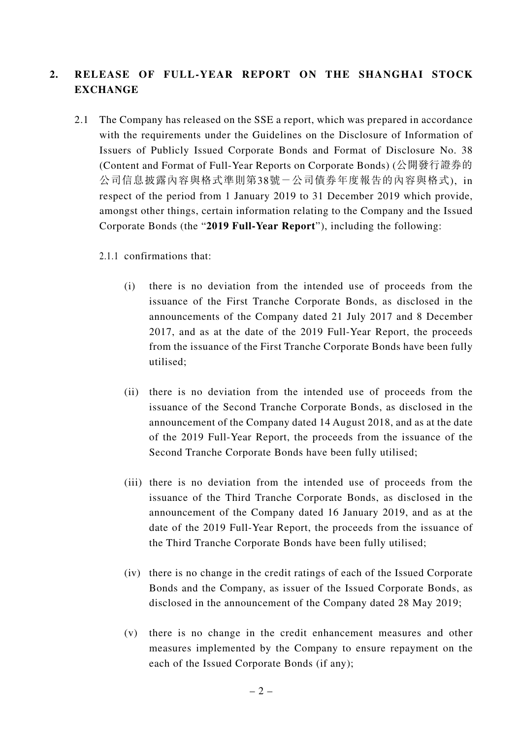## **2. RELEASE OF FULL-YEAR REPORT ON THE SHANGHAI STOCK EXCHANGE**

- 2.1 The Company has released on the SSE a report, which was prepared in accordance with the requirements under the Guidelines on the Disclosure of Information of Issuers of Publicly Issued Corporate Bonds and Format of Disclosure No. 38 (Content and Format of Full-Year Reports on Corporate Bonds) (公開發行證券的 公司信息披露內容與格式準則第38號-公司債券年度報告的內容與格式), in respect of the period from 1 January 2019 to 31 December 2019 which provide, amongst other things, certain information relating to the Company and the Issued Corporate Bonds (the "**2019 Full-Year Report**"), including the following:
	- 2.1.1 confirmations that:
		- (i) there is no deviation from the intended use of proceeds from the issuance of the First Tranche Corporate Bonds, as disclosed in the announcements of the Company dated 21 July 2017 and 8 December 2017, and as at the date of the 2019 Full-Year Report, the proceeds from the issuance of the First Tranche Corporate Bonds have been fully utilised;
		- (ii) there is no deviation from the intended use of proceeds from the issuance of the Second Tranche Corporate Bonds, as disclosed in the announcement of the Company dated 14 August 2018, and as at the date of the 2019 Full-Year Report, the proceeds from the issuance of the Second Tranche Corporate Bonds have been fully utilised;
		- (iii) there is no deviation from the intended use of proceeds from the issuance of the Third Tranche Corporate Bonds, as disclosed in the announcement of the Company dated 16 January 2019, and as at the date of the 2019 Full-Year Report, the proceeds from the issuance of the Third Tranche Corporate Bonds have been fully utilised;
		- (iv) there is no change in the credit ratings of each of the Issued Corporate Bonds and the Company, as issuer of the Issued Corporate Bonds, as disclosed in the announcement of the Company dated 28 May 2019;
		- (v) there is no change in the credit enhancement measures and other measures implemented by the Company to ensure repayment on the each of the Issued Corporate Bonds (if any);